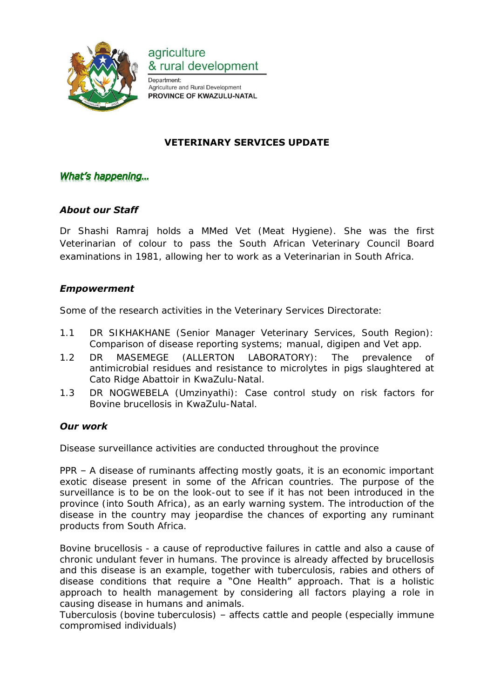

agriculture & rural development

Department: Agriculture and Rural Development PROVINCE OF KWAZULU-NATAL

# **VETERINARY SERVICES UPDATE**

## What's happening...

### *About our Staff*

Dr Shashi Ramraj holds a MMed Vet (Meat Hygiene). She was the first Veterinarian of colour to pass the South African Veterinary Council Board examinations in 1981, allowing her to work as a Veterinarian in South Africa.

#### *Empowerment*

Some of the research activities in the Veterinary Services Directorate:

- 1.1 DR SIKHAKHANE (Senior Manager Veterinary Services, South Region): Comparison of disease reporting systems; manual, digipen and Vet app.
- 1.2 DR MASEMEGE (ALLERTON LABORATORY): The prevalence of antimicrobial residues and resistance to microlytes in pigs slaughtered at Cato Ridge Abattoir in KwaZulu-Natal.
- 1.3 DR NOGWEBELA (Umzinyathi): Case control study on risk factors for Bovine brucellosis in KwaZulu-Natal.

#### *Our work*

Disease surveillance activities are conducted throughout the province

PPR – A disease of ruminants affecting mostly goats, it is an economic important exotic disease present in some of the African countries. The purpose of the surveillance is to be on the look-out to see if it has not been introduced in the province (into South Africa), as an early warning system. The introduction of the disease in the country may jeopardise the chances of exporting any ruminant products from South Africa.

Bovine brucellosis - a cause of reproductive failures in cattle and also a cause of chronic undulant fever in humans. The province is already affected by brucellosis and this disease is an example, together with tuberculosis, rabies and others of disease conditions that require a "One Health" approach. That is a holistic approach to health management by considering all factors playing a role in causing disease in humans and animals.

Tuberculosis (bovine tuberculosis) – affects cattle and people (especially immune compromised individuals)